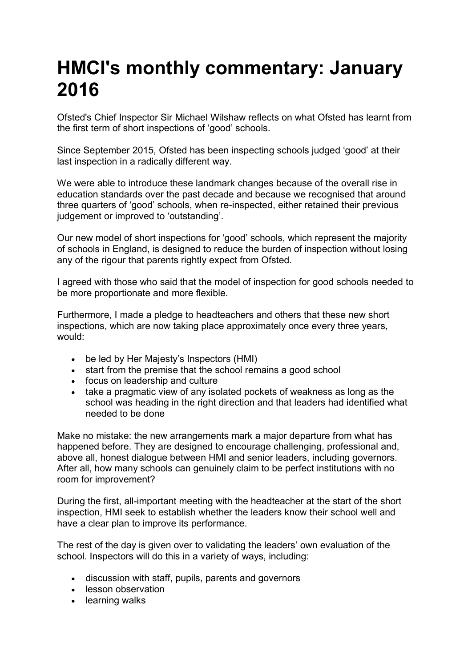## **HMCI's monthly commentary: January 2016**

Ofsted's Chief Inspector Sir Michael Wilshaw reflects on what Ofsted has learnt from the first term of short inspections of 'good' schools.

Since September 2015, Ofsted has been inspecting schools judged 'good' at their last inspection in a radically different way.

We were able to introduce these landmark changes because of the overall rise in education standards over the past decade and because we recognised that around three quarters of 'good' schools, when re-inspected, either retained their previous judgement or improved to 'outstanding'.

Our new model of short inspections for 'good' schools, which represent the majority of schools in England, is designed to reduce the burden of inspection without losing any of the rigour that parents rightly expect from Ofsted.

I agreed with those who said that the model of inspection for good schools needed to be more proportionate and more flexible.

Furthermore, I made a pledge to headteachers and others that these new short inspections, which are now taking place approximately once every three years, would:

- be led by Her Majesty's Inspectors (HMI)
- start from the premise that the school remains a good school
- focus on leadership and culture
- take a pragmatic view of any isolated pockets of weakness as long as the school was heading in the right direction and that leaders had identified what needed to be done

Make no mistake: the new arrangements mark a major departure from what has happened before. They are designed to encourage challenging, professional and, above all, honest dialogue between HMI and senior leaders, including governors. After all, how many schools can genuinely claim to be perfect institutions with no room for improvement?

During the first, all-important meeting with the headteacher at the start of the short inspection, HMI seek to establish whether the leaders know their school well and have a clear plan to improve its performance.

The rest of the day is given over to validating the leaders' own evaluation of the school. Inspectors will do this in a variety of ways, including:

- discussion with staff, pupils, parents and governors
- lesson observation
- learning walks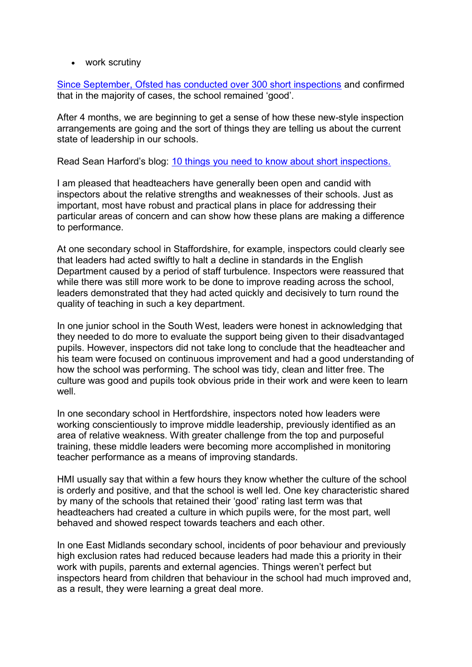• work scrutiny

[Since September, Ofsted has conducted over 300 short inspections](https://www.gov.uk/government/publications/inspection-outcomes-of-short-inspections-of-maintained-schools-and-academies) and confirmed that in the majority of cases, the school remained 'good'.

After 4 months, we are beginning to get a sense of how these new-style inspection arrangements are going and the sort of things they are telling us about the current state of leadership in our schools.

Read Sean Harford's blog: [10 things you need to know about short inspections.](https://educationinspection.blog.gov.uk/2015/12/16/short-inspections-10-things-you-need-to-know/)

I am pleased that headteachers have generally been open and candid with inspectors about the relative strengths and weaknesses of their schools. Just as important, most have robust and practical plans in place for addressing their particular areas of concern and can show how these plans are making a difference to performance.

At one secondary school in Staffordshire, for example, inspectors could clearly see that leaders had acted swiftly to halt a decline in standards in the English Department caused by a period of staff turbulence. Inspectors were reassured that while there was still more work to be done to improve reading across the school, leaders demonstrated that they had acted quickly and decisively to turn round the quality of teaching in such a key department.

In one junior school in the South West, leaders were honest in acknowledging that they needed to do more to evaluate the support being given to their disadvantaged pupils. However, inspectors did not take long to conclude that the headteacher and his team were focused on continuous improvement and had a good understanding of how the school was performing. The school was tidy, clean and litter free. The culture was good and pupils took obvious pride in their work and were keen to learn well.

In one secondary school in Hertfordshire, inspectors noted how leaders were working conscientiously to improve middle leadership, previously identified as an area of relative weakness. With greater challenge from the top and purposeful training, these middle leaders were becoming more accomplished in monitoring teacher performance as a means of improving standards.

HMI usually say that within a few hours they know whether the culture of the school is orderly and positive, and that the school is well led. One key characteristic shared by many of the schools that retained their 'good' rating last term was that headteachers had created a culture in which pupils were, for the most part, well behaved and showed respect towards teachers and each other.

In one East Midlands secondary school, incidents of poor behaviour and previously high exclusion rates had reduced because leaders had made this a priority in their work with pupils, parents and external agencies. Things weren't perfect but inspectors heard from children that behaviour in the school had much improved and, as a result, they were learning a great deal more.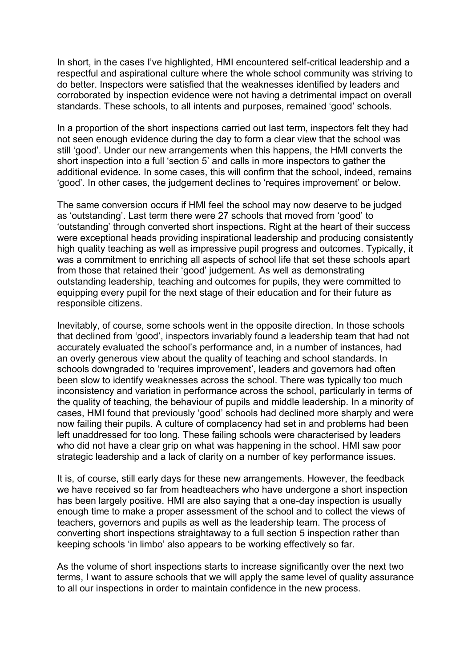In short, in the cases I've highlighted, HMI encountered self-critical leadership and a respectful and aspirational culture where the whole school community was striving to do better. Inspectors were satisfied that the weaknesses identified by leaders and corroborated by inspection evidence were not having a detrimental impact on overall standards. These schools, to all intents and purposes, remained 'good' schools.

In a proportion of the short inspections carried out last term, inspectors felt they had not seen enough evidence during the day to form a clear view that the school was still 'good'. Under our new arrangements when this happens, the HMI converts the short inspection into a full 'section 5' and calls in more inspectors to gather the additional evidence. In some cases, this will confirm that the school, indeed, remains 'good'. In other cases, the judgement declines to 'requires improvement' or below.

The same conversion occurs if HMI feel the school may now deserve to be judged as 'outstanding'. Last term there were 27 schools that moved from 'good' to 'outstanding' through converted short inspections. Right at the heart of their success were exceptional heads providing inspirational leadership and producing consistently high quality teaching as well as impressive pupil progress and outcomes. Typically, it was a commitment to enriching all aspects of school life that set these schools apart from those that retained their 'good' judgement. As well as demonstrating outstanding leadership, teaching and outcomes for pupils, they were committed to equipping every pupil for the next stage of their education and for their future as responsible citizens.

Inevitably, of course, some schools went in the opposite direction. In those schools that declined from 'good', inspectors invariably found a leadership team that had not accurately evaluated the school's performance and, in a number of instances, had an overly generous view about the quality of teaching and school standards. In schools downgraded to 'requires improvement', leaders and governors had often been slow to identify weaknesses across the school. There was typically too much inconsistency and variation in performance across the school, particularly in terms of the quality of teaching, the behaviour of pupils and middle leadership. In a minority of cases, HMI found that previously 'good' schools had declined more sharply and were now failing their pupils. A culture of complacency had set in and problems had been left unaddressed for too long. These failing schools were characterised by leaders who did not have a clear grip on what was happening in the school. HMI saw poor strategic leadership and a lack of clarity on a number of key performance issues.

It is, of course, still early days for these new arrangements. However, the feedback we have received so far from headteachers who have undergone a short inspection has been largely positive. HMI are also saying that a one-day inspection is usually enough time to make a proper assessment of the school and to collect the views of teachers, governors and pupils as well as the leadership team. The process of converting short inspections straightaway to a full section 5 inspection rather than keeping schools 'in limbo' also appears to be working effectively so far.

As the volume of short inspections starts to increase significantly over the next two terms, I want to assure schools that we will apply the same level of quality assurance to all our inspections in order to maintain confidence in the new process.